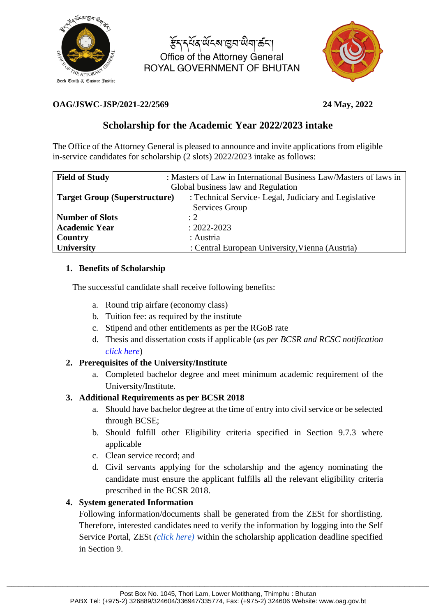

ङ्गिर्द्ग्यज्ञालया सेवार्करा Office of the Attorney General ROYAL GOVERNMENT OF BHUTAN



### **OAG/JSWC-JSP/2021-22/2569 24 May, 2022**

# **Scholarship for the Academic Year 2022/2023 intake**

The Office of the Attorney General is pleased to announce and invite applications from eligible in-service candidates for scholarship (2 slots) 2022/2023 intake as follows:

| <b>Field of Study</b>                | : Masters of Law in International Business Law/Masters of laws in |  |  |
|--------------------------------------|-------------------------------------------------------------------|--|--|
|                                      | Global business law and Regulation                                |  |  |
| <b>Target Group (Superstructure)</b> | : Technical Service- Legal, Judiciary and Legislative             |  |  |
|                                      | Services Group                                                    |  |  |
| <b>Number of Slots</b>               | :2                                                                |  |  |
| <b>Academic Year</b>                 | $: 2022 - 2023$                                                   |  |  |
| Country                              | : Austria                                                         |  |  |
| <b>University</b>                    | : Central European University, Vienna (Austria)                   |  |  |

#### **1. Benefits of Scholarship**

The successful candidate shall receive following benefits:

- a. Round trip airfare (economy class)
- b. Tuition fee: as required by the institute
- c. Stipend and other entitlements as per the RGoB rate
- d. Thesis and dissertation costs if applicable (*as per BCSR and RCSC notification [click here](https://www.rcsc.gov.bt/wp-content/uploads/2019/03/field-trip-Notification1.pdf)*)

### **2. Prerequisites of the University/Institute**

a. Completed bachelor degree and meet minimum academic requirement of the University/Institute.

### **3. Additional Requirements as per BCSR 2018**

- a. Should have bachelor degree at the time of entry into civil service or be selected through BCSE;
- b. Should fulfill other Eligibility criteria specified in Section 9.7.3 where applicable
- c. Clean service record; and
- d. Civil servants applying for the scholarship and the agency nominating the candidate must ensure the applicant fulfills all the relevant eligibility criteria prescribed in the BCSR 2018.

### **4. System generated Information**

Following information/documents shall be generated from the ZESt for shortlisting. Therefore, interested candidates need to verify the information by logging into the Self Service Portal, ZESt *[\(click here\)](https://zest.rcsc.gov.bt/)* within the scholarship application deadline specified in Section 9.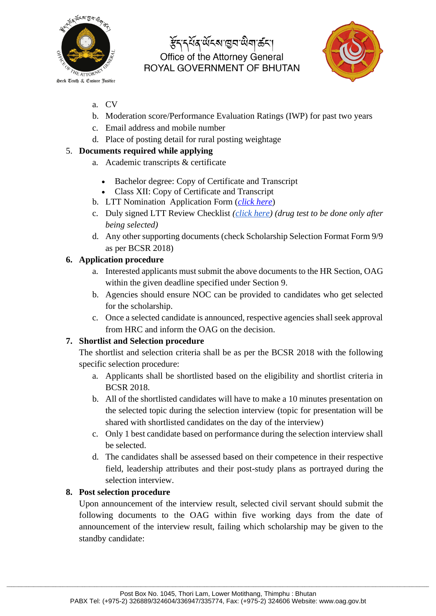

ङ्गिर्द्ग्यज्ञालया सेवार्करा Office of the Attorney General ROYAL GOVERNMENT OF BHUTAN



- a. CV
- b. Moderation score/Performance Evaluation Ratings (IWP) for past two years
- c. Email address and mobile number
- d. Place of posting detail for rural posting weightage

### 5. **Documents required while applying**

- a. Academic transcripts & certificate
	- Bachelor degree: Copy of Certificate and Transcript
	- Class XII: Copy of Certificate and Transcript
- b. LTT Nomination Application Form (*[click here](https://www.rcsc.gov.bt/wp-content/uploads/2021/02/LTT-Nomination-Application-Form-.pdf)*)
- c. Duly signed LTT Review Checklist *[\(click here\)](https://www.rcsc.gov.bt/wp-content/uploads/2018/12/LTT-Review-Checklist-for-NWSS.pdf) (drug test to be done only after being selected)*
- d. Any other supporting documents (check Scholarship Selection Format Form 9/9 as per BCSR 2018)

# **6. Application procedure**

- a. Interested applicants must submit the above documents to the HR Section, OAG within the given deadline specified under Section 9.
- b. Agencies should ensure NOC can be provided to candidates who get selected for the scholarship.
- c. Once a selected candidate is announced, respective agencies shall seek approval from HRC and inform the OAG on the decision.

## **7. Shortlist and Selection procedure**

The shortlist and selection criteria shall be as per the BCSR 2018 with the following specific selection procedure:

- a. Applicants shall be shortlisted based on the eligibility and shortlist criteria in BCSR 2018.
- b. All of the shortlisted candidates will have to make a 10 minutes presentation on the selected topic during the selection interview (topic for presentation will be shared with shortlisted candidates on the day of the interview)
- c. Only 1 best candidate based on performance during the selection interview shall be selected.
- d. The candidates shall be assessed based on their competence in their respective field, leadership attributes and their post-study plans as portrayed during the selection interview.

## **8. Post selection procedure**

Upon announcement of the interview result, selected civil servant should submit the following documents to the OAG within five working days from the date of announcement of the interview result, failing which scholarship may be given to the standby candidate: